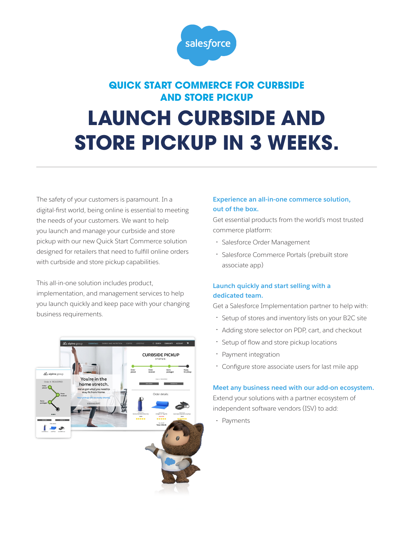

## **QUICK START COMMERCE FOR CURBSIDE AND STORE PICKUP**

# **LAUNCH CURBSIDE AND STORE PICKUP IN 3 WEEKS.**

The safety of your customers is paramount. In a digital-first world, being online is essential to meeting the needs of your customers. We want to help you launch and manage your curbside and store pickup with our new Quick Start Commerce solution designed for retailers that need to fulfill online orders with curbside and store pickup capabilities.

This all-in-one solution includes product, implementation, and management services to help you launch quickly and keep pace with your changing business requirements.



#### **Experience an all-in-one commerce solution, out of the box.**

Get essential products from the world's most trusted commerce platform:

- Salesforce Order Management
- Salesforce Commerce Portals (prebuilt store associate app)

#### **Launch quickly and start selling with a dedicated team.**

Get a Salesforce Implementation partner to help with:

- Setup of stores and inventory lists on your B2C site
- Adding store selector on PDP, cart, and checkout
- Setup of flow and store pickup locations
- Payment integration
- Configure store associate users for last mile app

#### **Meet any business need with our add-on ecosystem.**

Extend your solutions with a partner ecosystem of independent software vendors (ISV) to add:

• Payments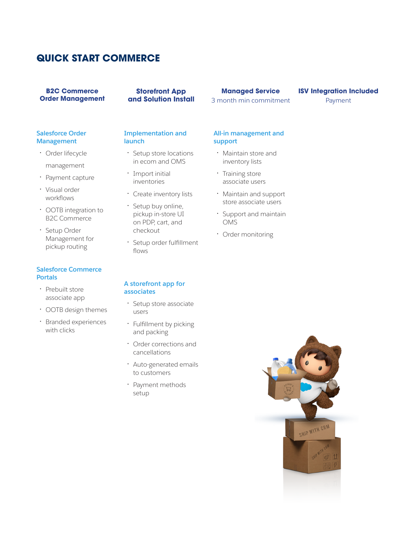### **QUICK START COMMERCE**

**B2C Commerce Order Management**

**Storefront App and Solution Install**

#### **Managed Service**

3 month min commitment

#### **ISV Integration Included**

Payment

#### **Salesforce Order Management**

- Order lifecycle
- management
- Payment capture
- Visual order workflows
- OOTB integration to B2C Commerce
- Setup Order Management for pickup routing

#### **Salesforce Commerce Portals**

- Prebuilt store associate app
- OOTB design themes
- Branded experiences with clicks

#### **Implementation and launch**

- Setup store locations in ecom and OMS
- Import initial inventories
- Create inventory lists
- Setup buy online, pickup in-store UI on PDP, cart, and checkout
- Setup order fulfillment flows

#### **A storefront app for associates**

- Setup store associate users
- Fulfillment by picking and packing
- Order corrections and cancellations
- Auto-generated emails to customers
- Payment methods setup

#### **All-in management and support**

- Maintain store and inventory lists
- Training store associate users
- Maintain and support store associate users
- Support and maintain OMS
- Order monitoring